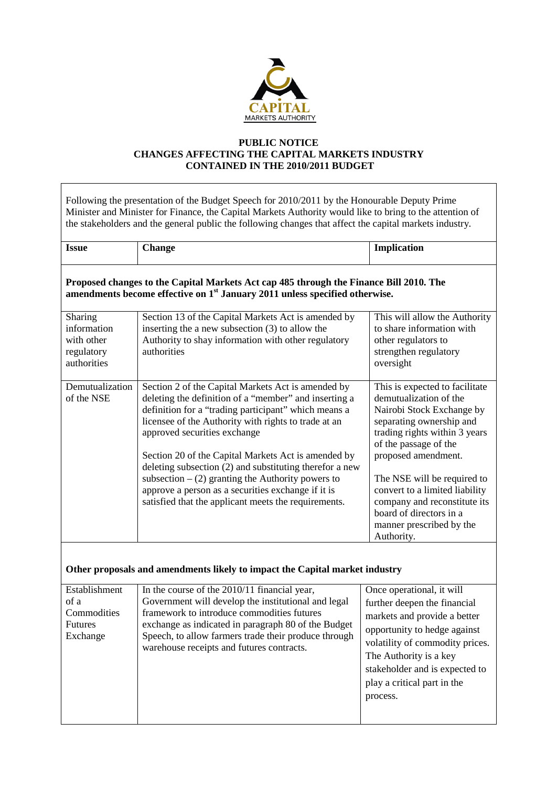

## **PUBLIC NOTICE CHANGES AFFECTING THE CAPITAL MARKETS INDUSTRY CONTAINED IN THE 2010/2011 BUDGET**

| Following the presentation of the Budget Speech for 2010/2011 by the Honourable Deputy Prime<br>Minister and Minister for Finance, the Capital Markets Authority would like to bring to the attention of<br>the stakeholders and the general public the following changes that affect the capital markets industry. |                                                                                                                                                                                                                                                                                                                                                                                                                                                                                                                                                   |                                                                                                                                                                                                                                                                                                                                                                          |  |  |
|---------------------------------------------------------------------------------------------------------------------------------------------------------------------------------------------------------------------------------------------------------------------------------------------------------------------|---------------------------------------------------------------------------------------------------------------------------------------------------------------------------------------------------------------------------------------------------------------------------------------------------------------------------------------------------------------------------------------------------------------------------------------------------------------------------------------------------------------------------------------------------|--------------------------------------------------------------------------------------------------------------------------------------------------------------------------------------------------------------------------------------------------------------------------------------------------------------------------------------------------------------------------|--|--|
| <b>Issue</b>                                                                                                                                                                                                                                                                                                        | <b>Change</b>                                                                                                                                                                                                                                                                                                                                                                                                                                                                                                                                     | Implication                                                                                                                                                                                                                                                                                                                                                              |  |  |
| Proposed changes to the Capital Markets Act cap 485 through the Finance Bill 2010. The<br>amendments become effective on 1 <sup>st</sup> January 2011 unless specified otherwise.                                                                                                                                   |                                                                                                                                                                                                                                                                                                                                                                                                                                                                                                                                                   |                                                                                                                                                                                                                                                                                                                                                                          |  |  |
| Sharing<br>information<br>with other<br>regulatory<br>authorities                                                                                                                                                                                                                                                   | Section 13 of the Capital Markets Act is amended by<br>inserting the a new subsection (3) to allow the<br>Authority to shay information with other regulatory<br>authorities                                                                                                                                                                                                                                                                                                                                                                      | This will allow the Authority<br>to share information with<br>other regulators to<br>strengthen regulatory<br>oversight                                                                                                                                                                                                                                                  |  |  |
| Demutualization<br>of the NSE                                                                                                                                                                                                                                                                                       | Section 2 of the Capital Markets Act is amended by<br>deleting the definition of a "member" and inserting a<br>definition for a "trading participant" which means a<br>licensee of the Authority with rights to trade at an<br>approved securities exchange<br>Section 20 of the Capital Markets Act is amended by<br>deleting subsection (2) and substituting therefor a new<br>subsection $-(2)$ granting the Authority powers to<br>approve a person as a securities exchange if it is<br>satisfied that the applicant meets the requirements. | This is expected to facilitate<br>demutualization of the<br>Nairobi Stock Exchange by<br>separating ownership and<br>trading rights within 3 years<br>of the passage of the<br>proposed amendment.<br>The NSE will be required to<br>convert to a limited liability<br>company and reconstitute its<br>board of directors in a<br>manner prescribed by the<br>Authority. |  |  |
| Other proposals and amendments likely to impact the Capital market industry                                                                                                                                                                                                                                         |                                                                                                                                                                                                                                                                                                                                                                                                                                                                                                                                                   |                                                                                                                                                                                                                                                                                                                                                                          |  |  |
| Establishment<br>of a<br>Commodities<br>Futures<br>Exchange                                                                                                                                                                                                                                                         | In the course of the 2010/11 financial year,<br>Government will develop the institutional and legal<br>framework to introduce commodities futures<br>exchange as indicated in paragraph 80 of the Budget<br>Speech, to allow farmers trade their produce through<br>warehouse receipts and futures contracts.                                                                                                                                                                                                                                     | Once operational, it will<br>further deepen the financial<br>markets and provide a better<br>opportunity to hedge against<br>volatility of commodity prices.<br>The Authority is a key<br>stakeholder and is expected to<br>play a critical part in the<br>process.                                                                                                      |  |  |